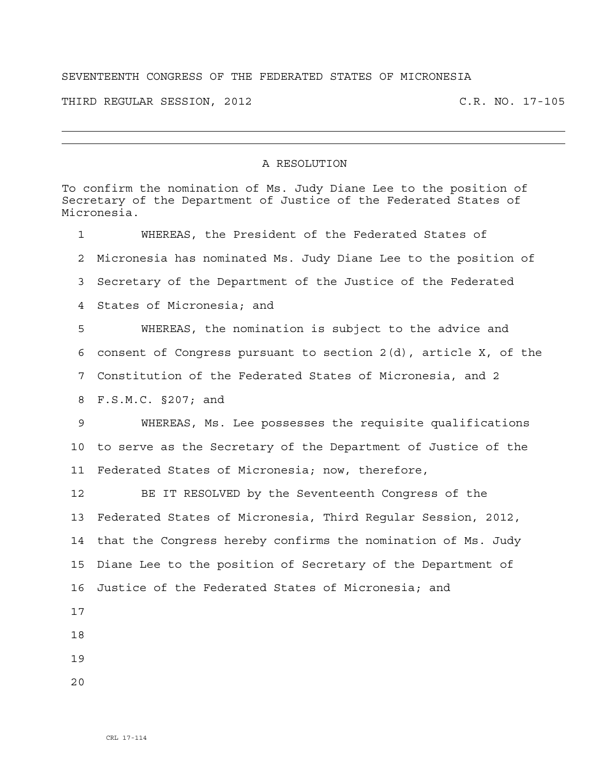## SEVENTEENTH CONGRESS OF THE FEDERATED STATES OF MICRONESIA

THIRD REGULAR SESSION, 2012 C.R. NO. 17-105

## A RESOLUTION

To confirm the nomination of Ms. Judy Diane Lee to the position of Secretary of the Department of Justice of the Federated States of Micronesia. 1 WHEREAS, the President of the Federated States of 2 Micronesia has nominated Ms. Judy Diane Lee to the position of 3 Secretary of the Department of the Justice of the Federated 4 States of Micronesia; and 5 WHEREAS, the nomination is subject to the advice and 6 consent of Congress pursuant to section 2(d), article X, of the 7 Constitution of the Federated States of Micronesia, and 2 8 F.S.M.C. §207; and 9 WHEREAS, Ms. Lee possesses the requisite qualifications 10 to serve as the Secretary of the Department of Justice of the 11 Federated States of Micronesia; now, therefore, 12 BE IT RESOLVED by the Seventeenth Congress of the 13 Federated States of Micronesia, Third Regular Session, 2012, 14 that the Congress hereby confirms the nomination of Ms. Judy 15 Diane Lee to the position of Secretary of the Department of 16 Justice of the Federated States of Micronesia; and 17 18 19

 $2.0$